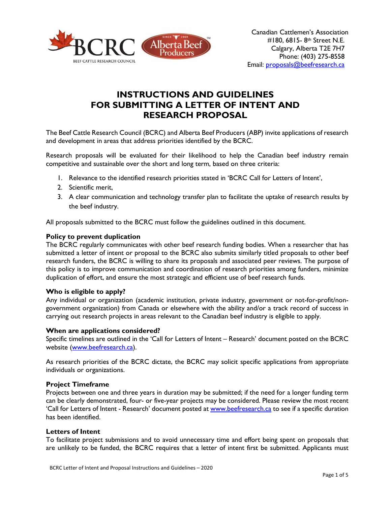

# **INSTRUCTIONS AND GUIDELINES FOR SUBMITTING A LETTER OF INTENT AND RESEARCH PROPOSAL**

The Beef Cattle Research Council (BCRC) and Alberta Beef Producers (ABP) invite applications of research and development in areas that address priorities identified by the BCRC.

Research proposals will be evaluated for their likelihood to help the Canadian beef industry remain competitive and sustainable over the short and long term, based on three criteria:

- 1. Relevance to the identified research priorities stated in 'BCRC Call for Letters of Intent',
- 2. Scientific merit,
- 3. A clear communication and technology transfer plan to facilitate the uptake of research results by the beef industry.

All proposals submitted to the BCRC must follow the guidelines outlined in this document.

# **Policy to prevent duplication**

The BCRC regularly communicates with other beef research funding bodies. When a researcher that has submitted a letter of intent or proposal to the BCRC also submits similarly titled proposals to other beef research funders, the BCRC is willing to share its proposals and associated peer reviews. The purpose of this policy is to improve communication and coordination of research priorities among funders, minimize duplication of effort, and ensure the most strategic and efficient use of beef research funds.

# **Who is eligible to apply?**

Any individual or organization (academic institution, private industry, government or not-for-profit/nongovernment organization) from Canada or elsewhere with the ability and/or a track record of success in carrying out research projects in areas relevant to the Canadian beef industry is eligible to apply.

## **When are applications considered?**

Specific timelines are outlined in the 'Call for Letters of Intent – Research' document posted on the BCRC website [\(www.beefresearch.ca\)](http://www.beefresearch.ca/).

As research priorities of the BCRC dictate, the BCRC may solicit specific applications from appropriate individuals or organizations.

# **Project Timeframe**

Projects between one and three years in duration may be submitted; if the need for a longer funding term can be clearly demonstrated, four- or five-year projects may be considered. Please review the most recent 'Call for Letters of Intent - Research' document posted at [www.beefresearch.ca](http://www.beefresearch.ca/) to see if a specific duration has been identified.

## **Letters of Intent**

To facilitate project submissions and to avoid unnecessary time and effort being spent on proposals that are unlikely to be funded, the BCRC requires that a letter of intent first be submitted. Applicants must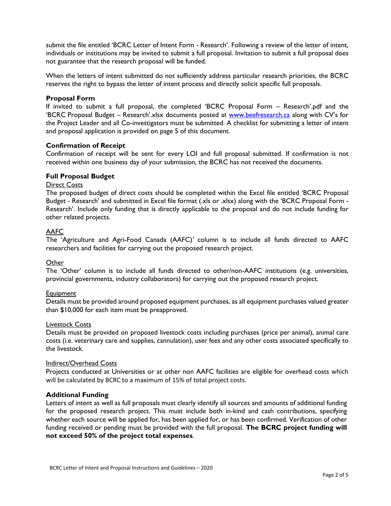submit the file entitled 'BCRC Letter of Intent Form - Research'. Following a review of the letter of intent, individuals or institutions may be invited to submit a full proposal. Invitation to submit a full proposal does not guarantee that the research proposal will be funded.

When the letters of intent submitted do not sufficiently address particular research priorities, the BCRC reserves the right to bypass the letter of intent process and directly solicit specific full proposals.

# **Proposal Form**

If invited to submit a full proposal, the completed 'BCRC Proposal Form – Research'.pdf and the 'BCRC Proposal Budget – Research'.xlsx documents posted at [www.beefresearch.ca](http://www.beefresearch.ca/) along with CV's for the Project Leader and all Co-investigators must be submitted. A checklist for submitting a letter of intent and proposal application is provided on page 5 of this document.

# **Confirmation of Receipt**

Confirmation of receipt will be sent for every LOI and full proposal submitted. If confirmation is not received within one business day of your submission, the BCRC has not received the documents.

# **Full Proposal Budget**

## Direct Costs

The proposed budget of direct costs should be completed within the Excel file entitled 'BCRC Proposal Budget - Research' and submitted in Excel file format (.xls or .xlsx) along with the 'BCRC Proposal Form - Research'. Include only funding that is directly applicable to the proposal and do not include funding for other related projects.

# AAFC

The 'Agriculture and Agri-Food Canada (AAFC)*'* column is to include all funds directed to AAFC researchers and facilities for carrying out the proposed research project.

## **Other**

The 'Other' column is to include all funds directed to other/non-AAFC institutions (e.g. universities, provincial governments, industry collaborators) for carrying out the proposed research project.

## **Equipment**

Details must be provided around proposed equipment purchases, as all equipment purchases valued greater than \$10,000 for each item must be preapproved.

## Livestock Costs

Details must be provided on proposed livestock costs including purchases (price per animal), animal care costs (i.e. veterinary care and supplies, cannulation), user fees and any other costs associated specifically to the livestock.

## Indirect/Overhead Costs

Projects conducted at Universities or at other non AAFC facilities are eligible for overhead costs which will be calculated by BCRC to a maximum of 15% of total project costs.

## **Additional Funding**

Letters of intent as well as full proposals must clearly identify all sources and amounts of additional funding for the proposed research project. This must include both in-kind and cash contributions, specifying whether each source will be applied for, has been applied for, or has been confirmed. Verification of other funding received or pending must be provided with the full proposal. **The BCRC project funding will not exceed 50% of the project total expenses**.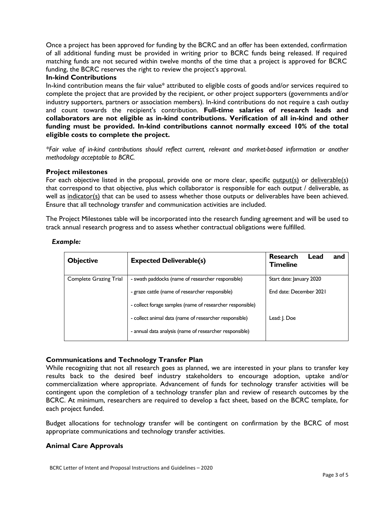Once a project has been approved for funding by the BCRC and an offer has been extended, confirmation of all additional funding must be provided in writing prior to BCRC funds being released. If required matching funds are not secured within twelve months of the time that a project is approved for BCRC funding, the BCRC reserves the right to review the project's approval.

# **In-kind Contributions**

In-kind contribution means the fair value\* attributed to eligible costs of goods and/or services required to complete the project that are provided by the recipient, or other project supporters (governments and/or industry supporters, partners or association members). In-kind contributions do not require a cash outlay and count towards the recipient's contribution. **Full-time salaries of research leads and collaborators are not eligible as in-kind contributions. Verification of all in-kind and other funding must be provided. In-kind contributions cannot normally exceed 10% of the total eligible costs to complete the project.**

*\*Fair value of in-kind contributions should reflect current, relevant and market-based information or another methodology acceptable to BCRC.*

# **Project milestones**

For each objective listed in the proposal, provide one or more clear, specific output(s) or deliverable(s) that correspond to that objective, plus which collaborator is responsible for each output / deliverable, as well as indicator(s) that can be used to assess whether those outputs or deliverables have been achieved. Ensure that all technology transfer and communication activities are included.

The Project Milestones table will be incorporated into the research funding agreement and will be used to track annual research progress and to assess whether contractual obligations were fulfilled.

| <b>Objective</b>              | <b>Expected Deliverable(s)</b>                            | Research<br>Lead<br>and<br><b>Timeline</b> |
|-------------------------------|-----------------------------------------------------------|--------------------------------------------|
| <b>Complete Grazing Trial</b> | - swath paddocks (name of researcher responsible)         | Start date: January 2020                   |
|                               | - graze cattle (name of researcher responsible)           | End date: December 2021                    |
|                               | - collect forage samples (name of researcher responsible) |                                            |
|                               | - collect animal data (name of researcher responsible)    | Lead: J. Doe                               |
|                               | - annual data analysis (name of researcher responsible)   |                                            |

# *Example:*

# **Communications and Technology Transfer Plan**

While recognizing that not all research goes as planned, we are interested in your plans to transfer key results back to the desired beef industry stakeholders to encourage adoption, uptake and/or commercialization where appropriate. Advancement of funds for technology transfer activities will be contingent upon the completion of a technology transfer plan and review of research outcomes by the BCRC. At minimum, researchers are required to develop a fact sheet, based on the BCRC template, for each project funded.

Budget allocations for technology transfer will be contingent on confirmation by the BCRC of most appropriate communications and technology transfer activities.

# **Animal Care Approvals**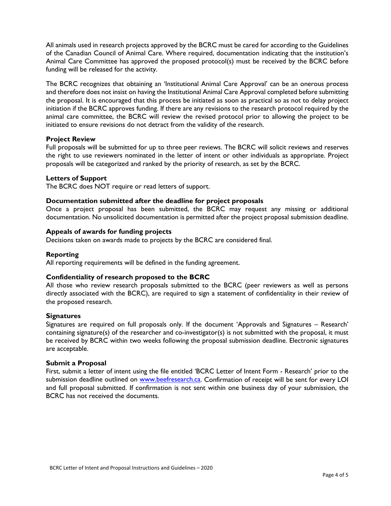All animals used in research projects approved by the BCRC must be cared for according to the Guidelines of the Canadian Council of Animal Care. Where required, documentation indicating that the institution's Animal Care Committee has approved the proposed protocol(s) must be received by the BCRC before funding will be released for the activity.

The BCRC recognizes that obtaining an 'Institutional Animal Care Approval' can be an onerous process and therefore does not insist on having the Institutional Animal Care Approval completed before submitting the proposal. It is encouraged that this process be initiated as soon as practical so as not to delay project initiation if the BCRC approves funding. If there are any revisions to the research protocol required by the animal care committee, the BCRC will review the revised protocol prior to allowing the project to be initiated to ensure revisions do not detract from the validity of the research.

# **Project Review**

Full proposals will be submitted for up to three peer reviews. The BCRC will solicit reviews and reserves the right to use reviewers nominated in the letter of intent or other individuals as appropriate. Project proposals will be categorized and ranked by the priority of research, as set by the BCRC.

## **Letters of Support**

The BCRC does NOT require or read letters of support.

# **Documentation submitted after the deadline for project proposals**

Once a project proposal has been submitted, the BCRC may request any missing or additional documentation. No unsolicited documentation is permitted after the project proposal submission deadline.

# **Appeals of awards for funding projects**

Decisions taken on awards made to projects by the BCRC are considered final.

## **Reporting**

All reporting requirements will be defined in the funding agreement.

# **Confidentiality of research proposed to the BCRC**

All those who review research proposals submitted to the BCRC (peer reviewers as well as persons directly associated with the BCRC), are required to sign a statement of confidentiality in their review of the proposed research.

## **Signatures**

Signatures are required on full proposals only. If the document 'Approvals and Signatures – Research' containing signature(s) of the researcher and co-investigator(s) is not submitted with the proposal, it must be received by BCRC within two weeks following the proposal submission deadline. Electronic signatures are acceptable.

## **Submit a Proposal**

First, submit a letter of intent using the file entitled 'BCRC Letter of Intent Form - Research' prior to the submission deadline outlined on [www.beefresearch.ca.](http://www.beefresearch.ca/) Confirmation of receipt will be sent for every LOI and full proposal submitted. If confirmation is not sent within one business day of your submission, the BCRC has not received the documents.